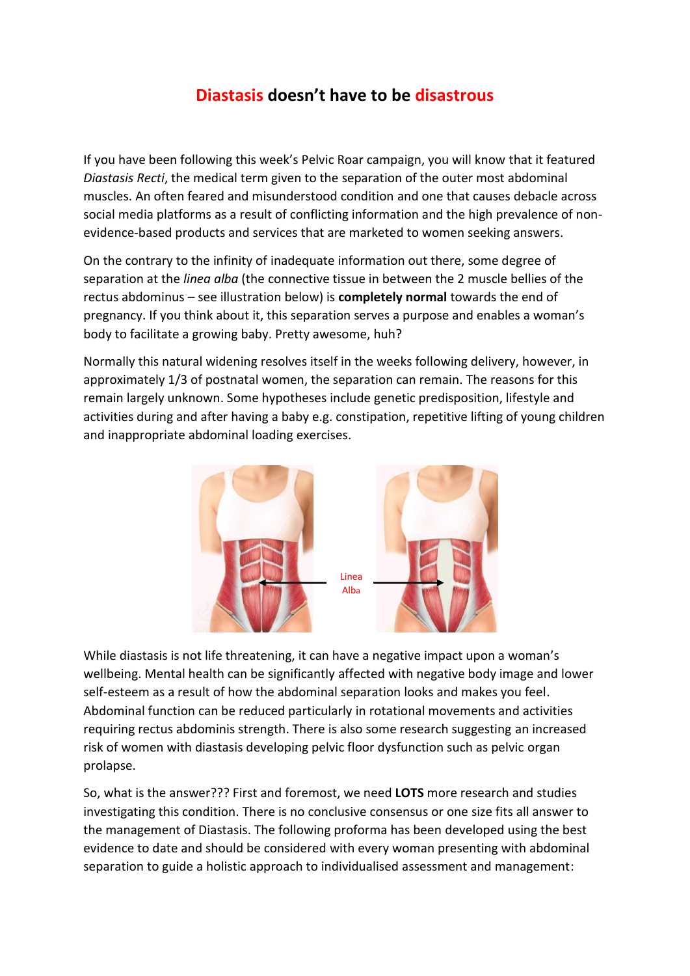## **Diastasis doesn't have to be disastrous**

If you have been following this week's Pelvic Roar campaign, you will know that it featured *Diastasis Recti*, the medical term given to the separation of the outer most abdominal muscles. An often feared and misunderstood condition and one that causes debacle across social media platforms as a result of conflicting information and the high prevalence of nonevidence-based products and services that are marketed to women seeking answers.

On the contrary to the infinity of inadequate information out there, some degree of separation at the *linea alba* (the connective tissue in between the 2 muscle bellies of the rectus abdominus – see illustration below) is **completely normal** towards the end of pregnancy. If you think about it, this separation serves a purpose and enables a woman's body to facilitate a growing baby. Pretty awesome, huh?

Normally this natural widening resolves itself in the weeks following delivery, however, in approximately 1/3 of postnatal women, the separation can remain. The reasons for this remain largely unknown. Some hypotheses include genetic predisposition, lifestyle and activities during and after having a baby e.g. constipation, repetitive lifting of young children and inappropriate abdominal loading exercises.



While diastasis is not life threatening, it can have a negative impact upon a woman's wellbeing. Mental health can be significantly affected with negative body image and lower self-esteem as a result of how the abdominal separation looks and makes you feel. Abdominal function can be reduced particularly in rotational movements and activities requiring rectus abdominis strength. There is also some research suggesting an increased risk of women with diastasis developing pelvic floor dysfunction such as pelvic organ prolapse.

So, what is the answer??? First and foremost, we need **LOTS** more research and studies investigating this condition. There is no conclusive consensus or one size fits all answer to the management of Diastasis. The following proforma has been developed using the best evidence to date and should be considered with every woman presenting with abdominal separation to guide a holistic approach to individualised assessment and management: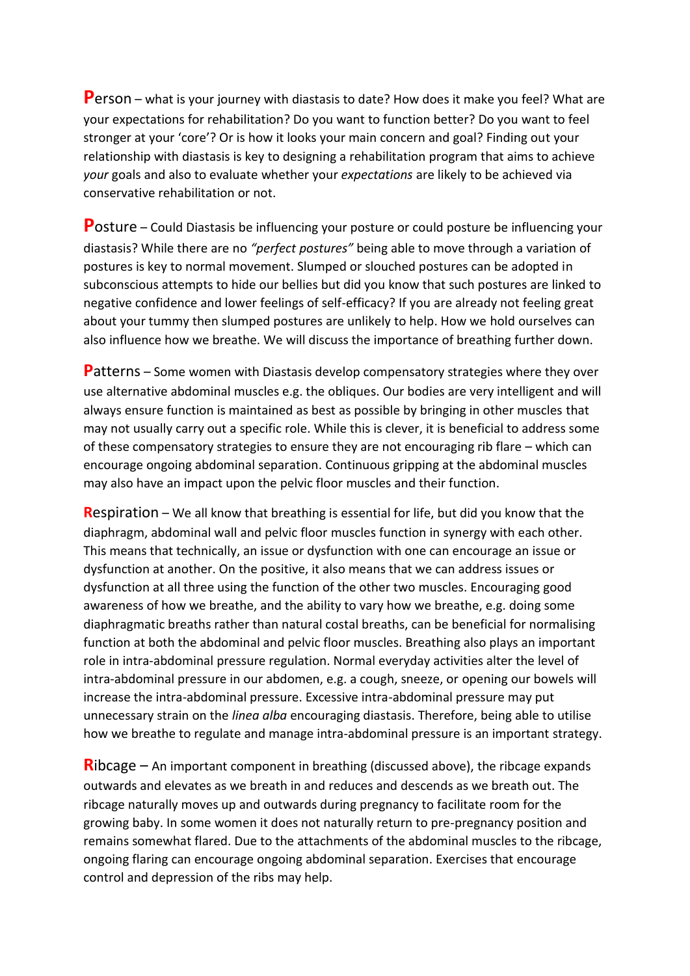**P**erson – what is your journey with diastasis to date? How does it make you feel? What are your expectations for rehabilitation? Do you want to function better? Do you want to feel stronger at your 'core'? Or is how it looks your main concern and goal? Finding out your relationship with diastasis is key to designing a rehabilitation program that aims to achieve *your* goals and also to evaluate whether your *expectations* are likely to be achieved via conservative rehabilitation or not.

**P**osture – Could Diastasis be influencing your posture or could posture be influencing your diastasis? While there are no *"perfect postures"* being able to move through a variation of postures is key to normal movement. Slumped or slouched postures can be adopted in subconscious attempts to hide our bellies but did you know that such postures are linked to negative confidence and lower feelings of self-efficacy? If you are already not feeling great about your tummy then slumped postures are unlikely to help. How we hold ourselves can also influence how we breathe. We will discuss the importance of breathing further down.

**P**atterns – Some women with Diastasis develop compensatory strategies where they over use alternative abdominal muscles e.g. the obliques. Our bodies are very intelligent and will always ensure function is maintained as best as possible by bringing in other muscles that may not usually carry out a specific role. While this is clever, it is beneficial to address some of these compensatory strategies to ensure they are not encouraging rib flare – which can encourage ongoing abdominal separation. Continuous gripping at the abdominal muscles may also have an impact upon the pelvic floor muscles and their function.

**R**espiration – We all know that breathing is essential for life, but did you know that the diaphragm, abdominal wall and pelvic floor muscles function in synergy with each other. This means that technically, an issue or dysfunction with one can encourage an issue or dysfunction at another. On the positive, it also means that we can address issues or dysfunction at all three using the function of the other two muscles. Encouraging good awareness of how we breathe, and the ability to vary how we breathe, e.g. doing some diaphragmatic breaths rather than natural costal breaths, can be beneficial for normalising function at both the abdominal and pelvic floor muscles. Breathing also plays an important role in intra-abdominal pressure regulation. Normal everyday activities alter the level of intra-abdominal pressure in our abdomen, e.g. a cough, sneeze, or opening our bowels will increase the intra-abdominal pressure. Excessive intra-abdominal pressure may put unnecessary strain on the *linea alba* encouraging diastasis. Therefore, being able to utilise how we breathe to regulate and manage intra-abdominal pressure is an important strategy.

**R**ibcage – An important component in breathing (discussed above), the ribcage expands outwards and elevates as we breath in and reduces and descends as we breath out. The ribcage naturally moves up and outwards during pregnancy to facilitate room for the growing baby. In some women it does not naturally return to pre-pregnancy position and remains somewhat flared. Due to the attachments of the abdominal muscles to the ribcage, ongoing flaring can encourage ongoing abdominal separation. Exercises that encourage control and depression of the ribs may help.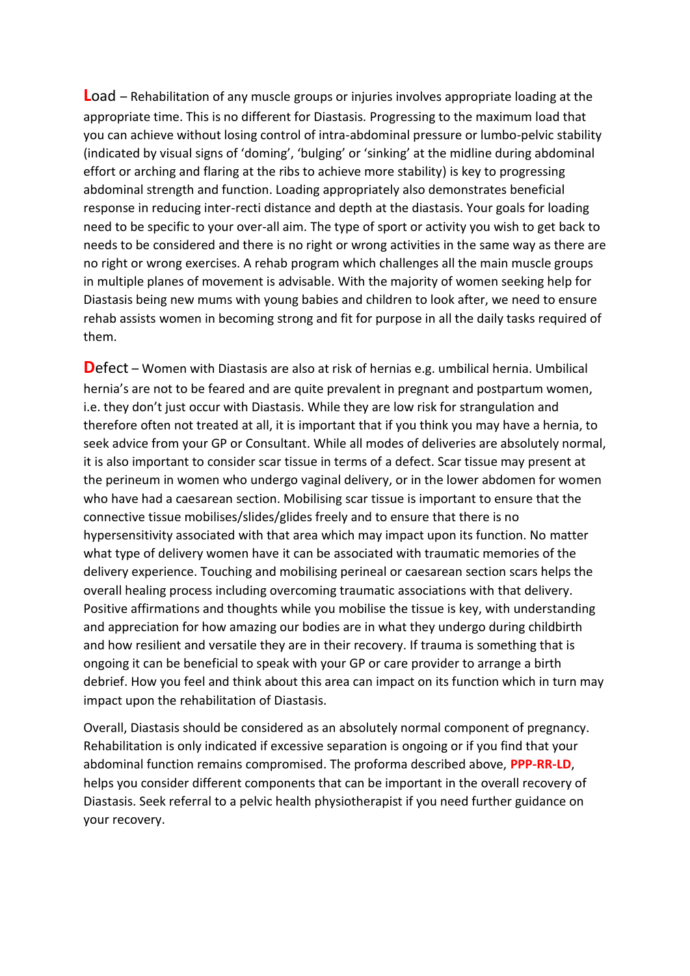**L**oad – Rehabilitation of any muscle groups or injuries involves appropriate loading at the appropriate time. This is no different for Diastasis. Progressing to the maximum load that you can achieve without losing control of intra-abdominal pressure or lumbo-pelvic stability (indicated by visual signs of 'doming', 'bulging' or 'sinking' at the midline during abdominal effort or arching and flaring at the ribs to achieve more stability) is key to progressing abdominal strength and function. Loading appropriately also demonstrates beneficial response in reducing inter-recti distance and depth at the diastasis. Your goals for loading need to be specific to your over-all aim. The type of sport or activity you wish to get back to needs to be considered and there is no right or wrong activities in the same way as there are no right or wrong exercises. A rehab program which challenges all the main muscle groups in multiple planes of movement is advisable. With the majority of women seeking help for Diastasis being new mums with young babies and children to look after, we need to ensure rehab assists women in becoming strong and fit for purpose in all the daily tasks required of them.

**D**efect – Women with Diastasis are also at risk of hernias e.g. umbilical hernia. Umbilical hernia's are not to be feared and are quite prevalent in pregnant and postpartum women, i.e. they don't just occur with Diastasis. While they are low risk for strangulation and therefore often not treated at all, it is important that if you think you may have a hernia, to seek advice from your GP or Consultant. While all modes of deliveries are absolutely normal, it is also important to consider scar tissue in terms of a defect. Scar tissue may present at the perineum in women who undergo vaginal delivery, or in the lower abdomen for women who have had a caesarean section. Mobilising scar tissue is important to ensure that the connective tissue mobilises/slides/glides freely and to ensure that there is no hypersensitivity associated with that area which may impact upon its function. No matter what type of delivery women have it can be associated with traumatic memories of the delivery experience. Touching and mobilising perineal or caesarean section scars helps the overall healing process including overcoming traumatic associations with that delivery. Positive affirmations and thoughts while you mobilise the tissue is key, with understanding and appreciation for how amazing our bodies are in what they undergo during childbirth and how resilient and versatile they are in their recovery. If trauma is something that is ongoing it can be beneficial to speak with your GP or care provider to arrange a birth debrief. How you feel and think about this area can impact on its function which in turn may impact upon the rehabilitation of Diastasis.

Overall, Diastasis should be considered as an absolutely normal component of pregnancy. Rehabilitation is only indicated if excessive separation is ongoing or if you find that your abdominal function remains compromised. The proforma described above, **PPP-RR-LD**, helps you consider different components that can be important in the overall recovery of Diastasis. Seek referral to a pelvic health physiotherapist if you need further guidance on your recovery.